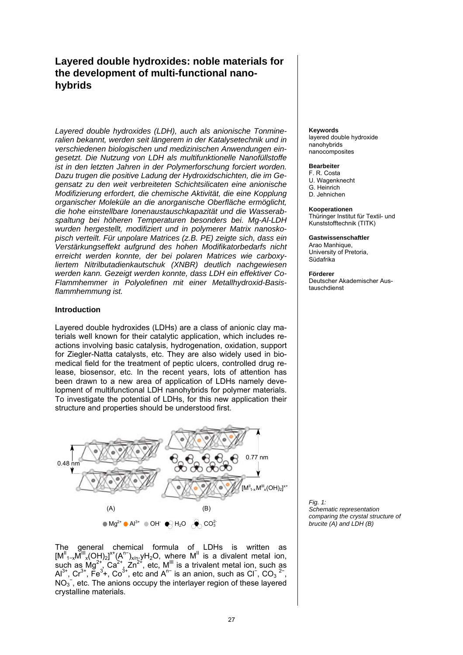# **Layered double hydroxides: noble materials for the development of multi-functional nanohybrids**

*Layered double hydroxides (LDH), auch als anionische Tonmineralien bekannt, werden seit längerem in der Katalysetechnik und in verschiedenen biologischen und medizinischen Anwendungen eingesetzt. Die Nutzung von LDH als multifunktionelle Nanofüllstoffe ist in den letzten Jahren in der Polymerforschung forciert worden. Dazu trugen die positive Ladung der Hydroxidschichten, die im Gegensatz zu den weit verbreiteten Schichtsilicaten eine anionische Modifizierung erfordert, die chemische Aktivität, die eine Kopplung organischer Moleküle an die anorganische Oberfläche ermöglicht, die hohe einstellbare Ionenaustauschkapazität und die Wasserabspaltung bei höheren Temperaturen besonders bei. Mg-Al-LDH wurden hergestellt, modifiziert und in polymerer Matrix nanoskopisch verteilt. Für unpolare Matrices (z.B. PE) zeigte sich, dass ein Verstärkungseffekt aufgrund des hohen Modifikatorbedarfs nicht erreicht werden konnte, der bei polaren Matrices wie carboxyliertem Nitrilbutadienkautschuk (XNBR) deutlich nachgewiesen werden kann. Gezeigt werden konnte, dass LDH ein effektiver Co-Flammhemmer in Polyolefinen mit einer Metallhydroxid-Basisflammhemmung ist.* 

# **Introduction**

Layered double hydroxides (LDHs) are a class of anionic clay materials well known for their catalytic application, which includes reactions involving basic catalysis, hydrogenation, oxidation, support for Ziegler-Natta catalysts, etc. They are also widely used in biomedical field for the treatment of peptic ulcers, controlled drug release, biosensor, etc. In the recent years, lots of attention has been drawn to a new area of application of LDHs namely development of multifunctional LDH nanohybrids for polymer materials. To investigate the potential of LDHs, for this new application their structure and properties should be understood first.





### **Keywords**

layered double hydroxide nanohybrids nanocomposites

### **Bearbeiter**

F. R. Costa U. Wagenknecht G. Heinrich D. Jehnichen

### **Kooperationen**

Thüringer Institut für Textil- und Kunststofftechnik (TITK)

**Gastwissenschaftler**  Arao Manhique, University of Pretoria, Südafrika

**Förderer** Deutscher Akademischer Austauschdienst

*Fig. 1: Schematic representation comparing the crystal structure of brucite (A) and LDH (B)*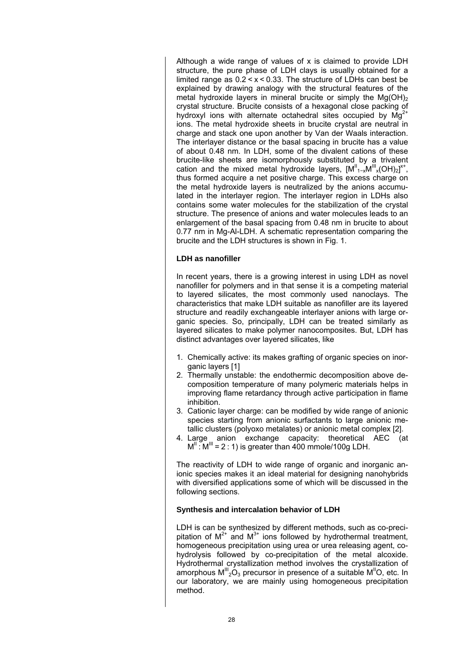Although a wide range of values of x is claimed to provide LDH structure, the pure phase of LDH clays is usually obtained for a limited range as  $0.2 < x < 0.33$ . The structure of LDHs can best be explained by drawing analogy with the structural features of the metal hydroxide layers in mineral brucite or simply the  $Mg(OH)_2$ crystal structure. Brucite consists of a hexagonal close packing of hydroxyl ions with alternate octahedral sites occupied by  $Mg^{2+}$ ions. The metal hydroxide sheets in brucite crystal are neutral in charge and stack one upon another by Van der Waals interaction. The interlayer distance or the basal spacing in brucite has a value of about 0.48 nm. In LDH, some of the divalent cations of these brucite-like sheets are isomorphously substituted by a trivalent cation and the mixed metal hydroxide layers,  $[M^{\parallel}_{1-x}M^{\parallel \parallel}_{x}(OH)_{2}]^{x+}$ , thus formed acquire a net positive charge. This excess charge on the metal hydroxide layers is neutralized by the anions accumulated in the interlayer region. The interlayer region in LDHs also contains some water molecules for the stabilization of the crystal structure. The presence of anions and water molecules leads to an enlargement of the basal spacing from 0.48 nm in brucite to about 0.77 nm in Mg-Al-LDH. A schematic representation comparing the brucite and the LDH structures is shown in Fig. 1.

# **LDH as nanofiller**

In recent years, there is a growing interest in using LDH as novel nanofiller for polymers and in that sense it is a competing material to layered silicates, the most commonly used nanoclays. The characteristics that make LDH suitable as nanofiller are its layered structure and readily exchangeable interlayer anions with large organic species. So, principally, LDH can be treated similarly as layered silicates to make polymer nanocomposites. But, LDH has distinct advantages over layered silicates, like

- 1. Chemically active: its makes grafting of organic species on inorganic layers [1]
- 2. Thermally unstable: the endothermic decomposition above decomposition temperature of many polymeric materials helps in improving flame retardancy through active participation in flame inhibition.
- 3. Cationic layer charge: can be modified by wide range of anionic species starting from anionic surfactants to large anionic metallic clusters (polyoxo metalates) or anionic metal complex [2].
- 4. Large anion exchange capacity: theoretical AEC (at  $M^{\text{II}}$ :  $M^{\text{III}}$  = 2:1) is greater than 400 mmole/100g LDH.

The reactivity of LDH to wide range of organic and inorganic anionic species makes it an ideal material for designing nanohybrids with diversified applications some of which will be discussed in the following sections.

# **Synthesis and intercalation behavior of LDH**

LDH is can be synthesized by different methods, such as co-precipitation of  $M^{2+}$  and  $M^{3+}$  ions followed by hydrothermal treatment, homogeneous precipitation using urea or urea releasing agent, cohydrolysis followed by co-precipitation of the metal alcoxide. Hydrothermal crystallization method involves the crystallization of amorphous  $M''_{2}O_{3}$  precursor in presence of a suitable  $M''O$ , etc. In our laboratory, we are mainly using homogeneous precipitation method.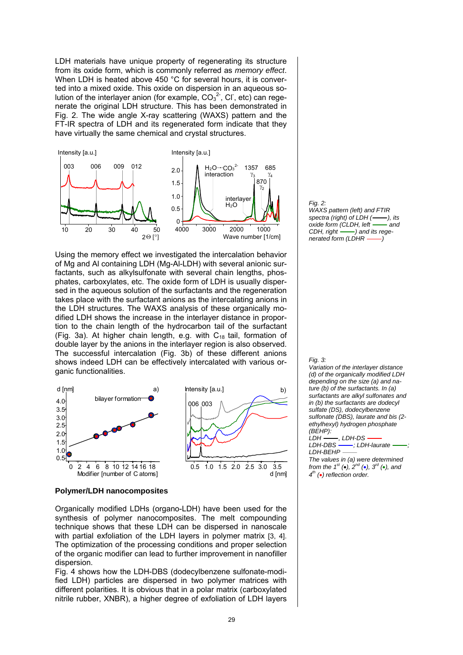LDH materials have unique property of regenerating its structure from its oxide form, which is commonly referred as *memory effect*. When LDH is heated above 450 °C for several hours, it is converted into a mixed oxide. This oxide on dispersion in an aqueous solution of the interlayer anion (for example,  $CO<sub>3</sub><sup>2</sup>$ , Cl, etc) can regenerate the original LDH structure. This has been demonstrated in Fig. 2. The wide angle X-ray scattering (WAXS) pattern and the FT-IR spectra of LDH and its regenerated form indicate that they have virtually the same chemical and crystal structures.



Using the memory effect we investigated the intercalation behavior of Mg and Al containing LDH (Mg-Al-LDH) with several anionic surfactants, such as alkylsulfonate with several chain lengths, phosphates, carboxylates, etc. The oxide form of LDH is usually dispersed in the aqueous solution of the surfactants and the regeneration takes place with the surfactant anions as the intercalating anions in the LDH structures. The WAXS analysis of these organically modified LDH shows the increase in the interlayer distance in proportion to the chain length of the hydrocarbon tail of the surfactant (Fig. 3a). At higher chain length, e.g. with  $C_{18}$  tail, formation of double layer by the anions in the interlayer region is also observed. The successful intercalation (Fig. 3b) of these different anions shows indeed LDH can be effectively intercalated with various organic functionalities.



#### *Fig. 2: WAXS pattern (left) and FTIR spectra (right) of LDH ( ), its oxide form (CLDH, left -- and CDH, right ) and its regenerated form (LDHR –––)*

#### *Fig. 3:*

*Variation of the interlayer distance (d) of the organically modified LDH depending on the size (a) and nature (b) of the surfactants. In (a) surfactants are alkyl sulfonates and in (b) the surfactants are dodecyl sulfate (DS), dodecylbenzene sulfonate (DBS), laurate and bis (2 ethylhexyl) hydrogen phosphate (BEHP):* 

*LDH* ——, *LDH-DS*<br>*LDH-DBS* ——; *LD LDH-DBS ; LDH-laurate ;* 

*LDH-BEHP The values in (a) were determined from the 1st (*•*), 2nd (*•*), 3rd (*•*), and 4th (*•*) reflection order.*

### **Polymer/LDH nanocomposites**

Organically modified LDHs (organo-LDH) have been used for the synthesis of polymer nanocomposites. The melt compounding technique shows that these LDH can be dispersed in nanoscale with partial exfoliation of the LDH layers in polymer matrix [3, 4]. The optimization of the processing conditions and proper selection of the organic modifier can lead to further improvement in nanofiller dispersion.

Fig. 4 shows how the LDH-DBS (dodecylbenzene sulfonate-modified LDH) particles are dispersed in two polymer matrices with different polarities. It is obvious that in a polar matrix (carboxylated nitrile rubber, XNBR), a higher degree of exfoliation of LDH layers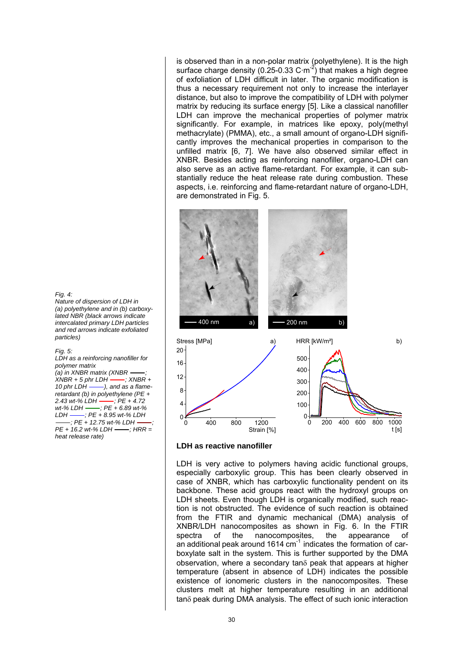is observed than in a non-polar matrix (polyethylene). It is the high surface charge density (0.25-0.33 C·m<sup>-2</sup>) that makes a high degree of exfoliation of LDH difficult in later. The organic modification is thus a necessary requirement not only to increase the interlayer distance, but also to improve the compatibility of LDH with polymer matrix by reducing its surface energy [5]. Like a classical nanofiller LDH can improve the mechanical properties of polymer matrix significantly. For example, in matrices like epoxy, poly(methyl methacrylate) (PMMA), etc., a small amount of organo-LDH significantly improves the mechanical properties in comparison to the unfilled matrix [6, 7]. We have also observed similar effect in XNBR. Besides acting as reinforcing nanofiller, organo-LDH can also serve as an active flame-retardant. For example, it can substantially reduce the heat release rate during combustion. These aspects, i.e. reinforcing and flame-retardant nature of organo-LDH, are demonstrated in Fig. 5.



### *Fig. 4:*

*Nature of dispersion of LDH in (a) polyethylene and in (b) carboxylated NBR (black arrows indicate intercalated primary LDH particles and red arrows indicate exfoliated particles)* 

#### *Fig. 5:*

*LDH as a reinforcing nanofiller for polymer matrix (a) in XNBR matrix (XNBR -----,*<br>*XNBR + 5 phr LDH -------. XNBR +*  $XNBR + 5$  phr LDH  $-$ *10 phr LDH ), and as a flameretardant (b) in polyethylene (PE +*  2.43 wt-% LDH **----**; PE + 4.72<br>wt-% LDH ------; PE + 6.89 wt-% *wt-% LDH ; PE + 6.89 wt-% LDH ; PE + 8.95 wt-% LDH ; PE + 12.75 wt-% LDH ; PE* + 16.2 wt-% LDH -- ; HRR = *heat release rate)* 

### **LDH as reactive nanofiller**

LDH is very active to polymers having acidic functional groups, especially carboxylic group. This has been clearly observed in case of XNBR, which has carboxylic functionality pendent on its backbone. These acid groups react with the hydroxyl groups on LDH sheets. Even though LDH is organically modified, such reaction is not obstructed. The evidence of such reaction is obtained from the FTIR and dynamic mechanical (DMA) analysis of XNBR/LDH nanocomposites as shown in Fig. 6. In the FTIR spectra of the nanocomposites, the appearance of an additional peak around 1614  $cm<sup>-1</sup>$  indicates the formation of carboxylate salt in the system. This is further supported by the DMA observation, where a secondary tanδ peak that appears at higher temperature (absent in absence of LDH) indicates the possible existence of ionomeric clusters in the nanocomposites. These clusters melt at higher temperature resulting in an additional tanδ peak during DMA analysis. The effect of such ionic interaction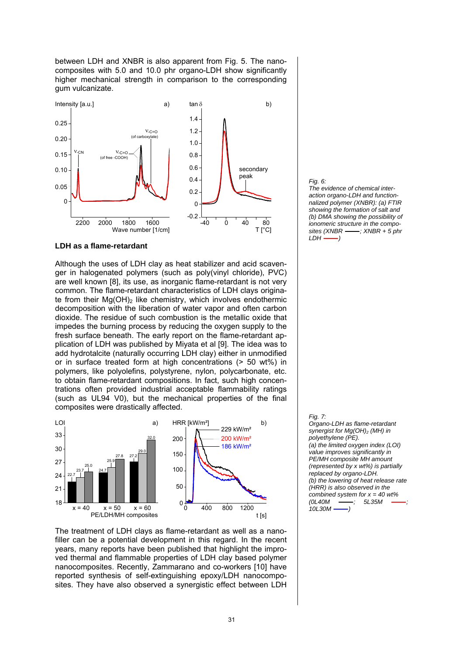between LDH and XNBR is also apparent from Fig. 5. The nanocomposites with 5.0 and 10.0 phr organo-LDH show significantly higher mechanical strength in comparison to the corresponding gum vulcanizate.



### **LDH as a flame-retardant**

Although the uses of LDH clay as heat stabilizer and acid scavenger in halogenated polymers (such as poly(vinyl chloride), PVC) are well known [8], its use, as inorganic flame-retardant is not very common. The flame-retardant characteristics of LDH clays originate from their Mg(OH)<sub>2</sub> like chemistry, which involves endothermic decomposition with the liberation of water vapor and often carbon dioxide. The residue of such combustion is the metallic oxide that impedes the burning process by reducing the oxygen supply to the fresh surface beneath. The early report on the flame-retardant application of LDH was published by Miyata et al [9]. The idea was to add hydrotalcite (naturally occurring LDH clay) either in unmodified or in surface treated form at high concentrations (> 50 wt%) in polymers, like polyolefins, polystyrene, nylon, polycarbonate, etc. to obtain flame-retardant compositions. In fact, such high concentrations often provided industrial acceptable flammability ratings (such as UL94 V0), but the mechanical properties of the final composites were drastically affected.



The treatment of LDH clays as flame-retardant as well as a nanofiller can be a potential development in this regard. In the recent years, many reports have been published that highlight the improved thermal and flammable properties of LDH clay based polymer nanocomposites. Recently, Zammarano and co-workers [10] have reported synthesis of self-extinguishing epoxy/LDH nanocomposites. They have also observed a synergistic effect between LDH



*Fig. 7: Organo-LDH as flame-retardant synergist for Mg(OH)2 (MH) in polyethylene (PE). (a) the limited oxygen index (LOI) value improves significantly in PE/MH composite MH amount (represented by x wt%) is partially replaced by organo-LDH. (b) the lowering of heat release rate (HRR) is also observed in the combined system for x = 40 wt% (0L40M ; 5L35M ; 10L30M )*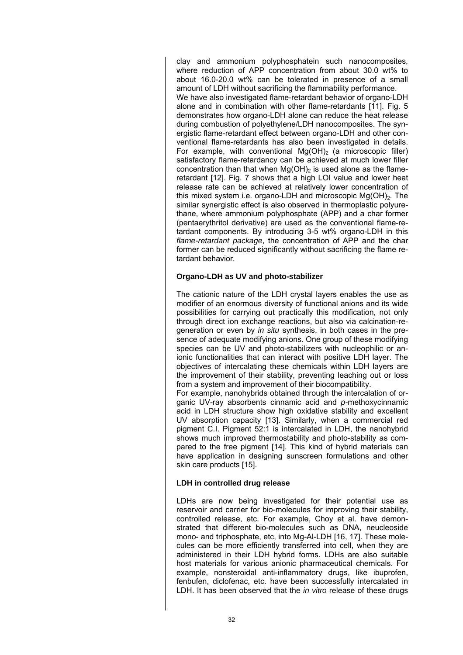clay and ammonium polyphosphatein such nanocomposites, where reduction of APP concentration from about 30.0 wt% to about 16.0-20.0 wt% can be tolerated in presence of a small amount of LDH without sacrificing the flammability performance. We have also investigated flame-retardant behavior of organo-LDH alone and in combination with other flame-retardants [11]. Fig. 5 demonstrates how organo-LDH alone can reduce the heat release during combustion of polyethylene/LDH nanocomposites. The synergistic flame-retardant effect between organo-LDH and other conventional flame-retardants has also been investigated in details. For example, with conventional  $Mg(OH)_2$  (a microscopic filler) satisfactory flame-retardancy can be achieved at much lower filler concentration than that when  $Mg(OH)_2$  is used alone as the flameretardant [12]. Fig. 7 shows that a high LOI value and lower heat release rate can be achieved at relatively lower concentration of this mixed system i.e. organo-LDH and microscopic  $Mg(OH)_2$ . The similar synergistic effect is also observed in thermoplastic polyurethane, where ammonium polyphosphate (APP) and a char former (pentaerythritol derivative) are used as the conventional flame-retardant components. By introducing 3-5 wt% organo-LDH in this *flame-retardant package*, the concentration of APP and the char former can be reduced significantly without sacrificing the flame retardant behavior.

# **Organo-LDH as UV and photo-stabilizer**

The cationic nature of the LDH crystal layers enables the use as modifier of an enormous diversity of functional anions and its wide possibilities for carrying out practically this modification, not only through direct ion exchange reactions, but also via calcination-regeneration or even by *in situ* synthesis, in both cases in the presence of adequate modifying anions. One group of these modifying species can be UV and photo-stabilizers with nucleophilic or anionic functionalities that can interact with positive LDH layer. The objectives of intercalating these chemicals within LDH layers are the improvement of their stability, preventing leaching out or loss from a system and improvement of their biocompatibility.

For example, nanohybrids obtained through the intercalation of organic UV-ray absorbents cinnamic acid and *p-*methoxycinnamic acid in LDH structure show high oxidative stability and excellent UV absorption capacity [13]. Similarly, when a commercial red pigment C.I. Pigment 52:1 is intercalated in LDH, the nanohybrid shows much improved thermostability and photo-stability as compared to the free pigment [14]. This kind of hybrid materials can have application in designing sunscreen formulations and other skin care products [15].

# **LDH in controlled drug release**

LDHs are now being investigated for their potential use as reservoir and carrier for bio-molecules for improving their stability, controlled release, etc. For example, Choy et al. have demonstrated that different bio-molecules such as DNA, neucleoside mono- and triphosphate, etc, into Mg-Al-LDH [16, 17]. These molecules can be more efficiently transferred into cell, when they are administered in their LDH hybrid forms. LDHs are also suitable host materials for various anionic pharmaceutical chemicals. For example, nonsteroidal anti-inflammatory drugs, like ibuprofen, fenbufen, diclofenac, etc. have been successfully intercalated in LDH. It has been observed that the *in vitro* release of these drugs